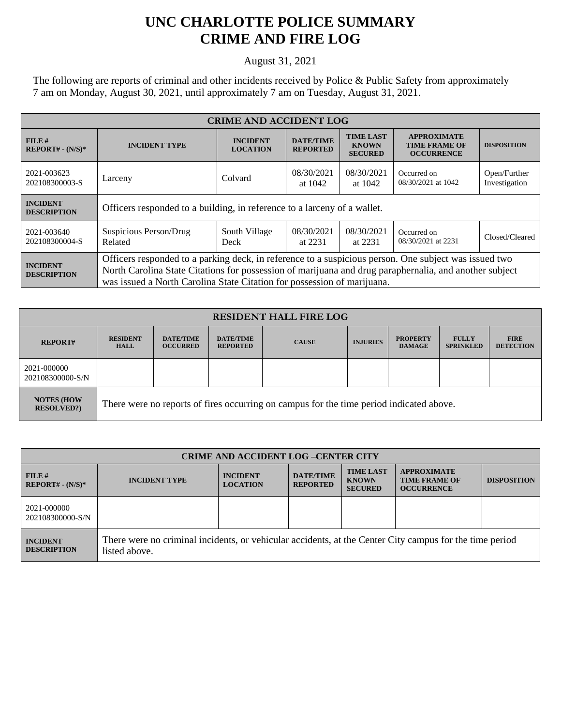## **UNC CHARLOTTE POLICE SUMMARY CRIME AND FIRE LOG**

August 31, 2021

The following are reports of criminal and other incidents received by Police & Public Safety from approximately 7 am on Monday, August 30, 2021, until approximately 7 am on Tuesday, August 31, 2021.

| <b>CRIME AND ACCIDENT LOG</b>         |                                                                                                                                                                                                                                                                                            |                                    |                                     |                                                    |                                                                 |                               |  |
|---------------------------------------|--------------------------------------------------------------------------------------------------------------------------------------------------------------------------------------------------------------------------------------------------------------------------------------------|------------------------------------|-------------------------------------|----------------------------------------------------|-----------------------------------------------------------------|-------------------------------|--|
| $FILE$ #<br>$REPORT# - (N/S)*$        | <b>INCIDENT TYPE</b>                                                                                                                                                                                                                                                                       | <b>INCIDENT</b><br><b>LOCATION</b> | <b>DATE/TIME</b><br><b>REPORTED</b> | <b>TIME LAST</b><br><b>KNOWN</b><br><b>SECURED</b> | <b>APPROXIMATE</b><br><b>TIME FRAME OF</b><br><b>OCCURRENCE</b> | <b>DISPOSITION</b>            |  |
| 2021-003623<br>202108300003-S         | Larceny                                                                                                                                                                                                                                                                                    | Colvard                            | 08/30/2021<br>at 1042               | 08/30/2021<br>at 1042                              | Occurred on<br>08/30/2021 at 1042                               | Open/Further<br>Investigation |  |
| <b>INCIDENT</b><br><b>DESCRIPTION</b> | Officers responded to a building, in reference to a larceny of a wallet.                                                                                                                                                                                                                   |                                    |                                     |                                                    |                                                                 |                               |  |
| 2021-003640<br>202108300004-S         | Suspicious Person/Drug<br>Related                                                                                                                                                                                                                                                          | South Village<br>Deck              | 08/30/2021<br>at 2231               | 08/30/2021<br>at 2231                              | Occurred on<br>08/30/2021 at 2231                               | Closed/Cleared                |  |
| <b>INCIDENT</b><br><b>DESCRIPTION</b> | Officers responded to a parking deck, in reference to a suspicious person. One subject was issued two<br>North Carolina State Citations for possession of marijuana and drug paraphernalia, and another subject<br>was issued a North Carolina State Citation for possession of marijuana. |                                    |                                     |                                                    |                                                                 |                               |  |

| <b>RESIDENT HALL FIRE LOG</b>         |                                                                                         |                                     |                                     |              |                 |                                  |                                  |                                 |
|---------------------------------------|-----------------------------------------------------------------------------------------|-------------------------------------|-------------------------------------|--------------|-----------------|----------------------------------|----------------------------------|---------------------------------|
| <b>REPORT#</b>                        | <b>RESIDENT</b><br><b>HALL</b>                                                          | <b>DATE/TIME</b><br><b>OCCURRED</b> | <b>DATE/TIME</b><br><b>REPORTED</b> | <b>CAUSE</b> | <b>INJURIES</b> | <b>PROPERTY</b><br><b>DAMAGE</b> | <b>FULLY</b><br><b>SPRINKLED</b> | <b>FIRE</b><br><b>DETECTION</b> |
| 2021-000000<br>202108300000-S/N       |                                                                                         |                                     |                                     |              |                 |                                  |                                  |                                 |
| <b>NOTES (HOW</b><br><b>RESOLVED?</b> | There were no reports of fires occurring on campus for the time period indicated above. |                                     |                                     |              |                 |                                  |                                  |                                 |

| <b>CRIME AND ACCIDENT LOG-CENTER CITY</b> |                                                                                                                          |                                    |                                     |                                                    |                                                                 |                    |
|-------------------------------------------|--------------------------------------------------------------------------------------------------------------------------|------------------------------------|-------------------------------------|----------------------------------------------------|-----------------------------------------------------------------|--------------------|
| $FILE$ #<br>$REPORT# - (N/S)*$            | <b>INCIDENT TYPE</b>                                                                                                     | <b>INCIDENT</b><br><b>LOCATION</b> | <b>DATE/TIME</b><br><b>REPORTED</b> | <b>TIME LAST</b><br><b>KNOWN</b><br><b>SECURED</b> | <b>APPROXIMATE</b><br><b>TIME FRAME OF</b><br><b>OCCURRENCE</b> | <b>DISPOSITION</b> |
| 2021-000000<br>202108300000-S/N           |                                                                                                                          |                                    |                                     |                                                    |                                                                 |                    |
| <b>INCIDENT</b><br><b>DESCRIPTION</b>     | There were no criminal incidents, or vehicular accidents, at the Center City campus for the time period<br>listed above. |                                    |                                     |                                                    |                                                                 |                    |